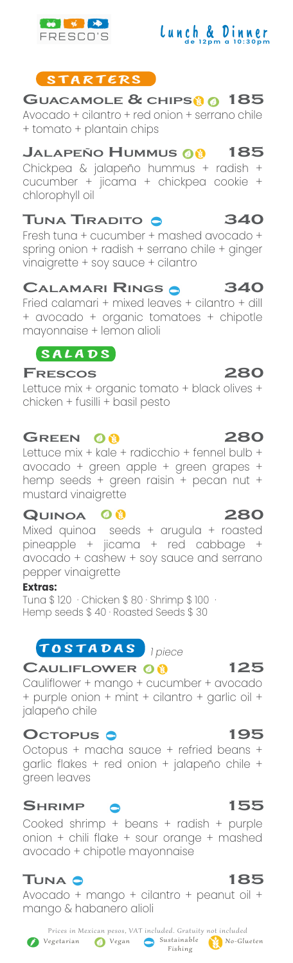

## STARTERS

Avocado + cilantro + red onion + serrano chile + tomato + plantain chips **GUACAMOLE & CHIPS 185**

## **JALAPEÑO HUMMUS 185**

Chickpea & jalapeño hummus + radish + cucumber + jicama + chickpea cookie + chlorophyll oil

## **TUNA TIRADITO 340**

Fresh tuna + cucumber + mashed avocado + spring onion + radish + serrano chile + ginger vinaigrette + soy sauce + cilantro

## **CALAMARI RINGS 340**

Fried calamari + mixed leaves + cilantro + dill + avocado + organic tomatoes + chipotle mayonnaise + lemon alioli

## $SALADS$

## **FRESCOS 280**

Lettuce mix + organic tomato + black olives + chicken + fusilli + basil pesto

## **GREEN 280**

Lettuce mix + kale + radicchio + fennel bulb + avocado + green apple + green grapes + hemp seeds + green raisin + pecan nut + mustard vinaigrette

## **QUINOA 280**

Mixed quinoa seeds + arugula + roasted pineapple + jicama + red cabbage + avocado + cashew + soy sauce and serrano pepper vinaigrette

### **Extras:**

Tuna \$ 120 · Chicken \$ 80 · Shrimp \$ 100 · Hemp seeds \$40 · Roasted Seeds \$30

## TOSTADAS **Ipiece**

## **CAULIFLOWER 125**

Cauliflower + mango + cucumber + avocado + purple onion + mint + cilantro + garlic oil + jalapeño chile

## **OCTOPUS 195**

Octopus + macha sauce + refried beans + garlic flakes + red onion + jalapeño chile + green leaves

## **SHRIMP 155**

Cooked shrimp + beans + radish + purple onion + chili flake + sour orange + mashed avocado + chipotle mayonnaise

## **TUNA 185**

Avocado + mango + cilantro + peanut oil + mango & habanero alioli

Fishing



Lun & Din **de 12 <sup>p</sup> m a 1 0 : 3 0 p <sup>m</sup>**